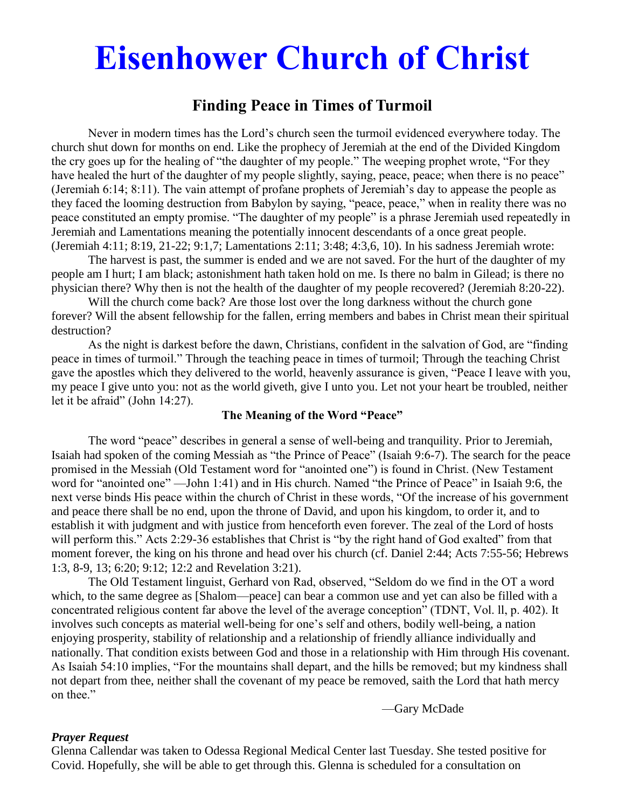# **Eisenhower Church of Christ**

# **Finding Peace in Times of Turmoil**

Never in modern times has the Lord's church seen the turmoil evidenced everywhere today. The church shut down for months on end. Like the prophecy of Jeremiah at the end of the Divided Kingdom the cry goes up for the healing of "the daughter of my people." The weeping prophet wrote, "For they have healed the hurt of the daughter of my people slightly, saying, peace, peace; when there is no peace" (Jeremiah 6:14; 8:11). The vain attempt of profane prophets of Jeremiah's day to appease the people as they faced the looming destruction from Babylon by saying, "peace, peace," when in reality there was no peace constituted an empty promise. "The daughter of my people" is a phrase Jeremiah used repeatedly in Jeremiah and Lamentations meaning the potentially innocent descendants of a once great people. (Jeremiah 4:11; 8:19, 21-22; 9:1,7; Lamentations 2:11; 3:48; 4:3,6, 10). In his sadness Jeremiah wrote:

The harvest is past, the summer is ended and we are not saved. For the hurt of the daughter of my people am I hurt; I am black; astonishment hath taken hold on me. Is there no balm in Gilead; is there no physician there? Why then is not the health of the daughter of my people recovered? (Jeremiah 8:20-22).

Will the church come back? Are those lost over the long darkness without the church gone forever? Will the absent fellowship for the fallen, erring members and babes in Christ mean their spiritual destruction?

As the night is darkest before the dawn, Christians, confident in the salvation of God, are "finding peace in times of turmoil." Through the teaching peace in times of turmoil; Through the teaching Christ gave the apostles which they delivered to the world, heavenly assurance is given, "Peace I leave with you, my peace I give unto you: not as the world giveth, give I unto you. Let not your heart be troubled, neither let it be afraid" (John 14:27).

#### **The Meaning of the Word "Peace"**

The word "peace" describes in general a sense of well-being and tranquility. Prior to Jeremiah, Isaiah had spoken of the coming Messiah as "the Prince of Peace" (Isaiah 9:6-7). The search for the peace promised in the Messiah (Old Testament word for "anointed one") is found in Christ. (New Testament word for "anointed one" —John 1:41) and in His church. Named "the Prince of Peace" in Isaiah 9:6, the next verse binds His peace within the church of Christ in these words, "Of the increase of his government and peace there shall be no end, upon the throne of David, and upon his kingdom, to order it, and to establish it with judgment and with justice from henceforth even forever. The zeal of the Lord of hosts will perform this." Acts 2:29-36 establishes that Christ is "by the right hand of God exalted" from that moment forever, the king on his throne and head over his church (cf. Daniel 2:44; Acts 7:55-56; Hebrews 1:3, 8-9, 13; 6:20; 9:12; 12:2 and Revelation 3:21).

The Old Testament linguist, Gerhard von Rad, observed, "Seldom do we find in the OT a word which, to the same degree as [Shalom—peace] can bear a common use and yet can also be filled with a concentrated religious content far above the level of the average conception" (TDNT, Vol. ll, p. 402). It involves such concepts as material well-being for one's self and others, bodily well-being, a nation enjoying prosperity, stability of relationship and a relationship of friendly alliance individually and nationally. That condition exists between God and those in a relationship with Him through His covenant. As Isaiah 54:10 implies, "For the mountains shall depart, and the hills be removed; but my kindness shall not depart from thee, neither shall the covenant of my peace be removed, saith the Lord that hath mercy on thee."

—Gary McDade

#### *Prayer Request*

Glenna Callendar was taken to Odessa Regional Medical Center last Tuesday. She tested positive for Covid. Hopefully, she will be able to get through this. Glenna is scheduled for a consultation on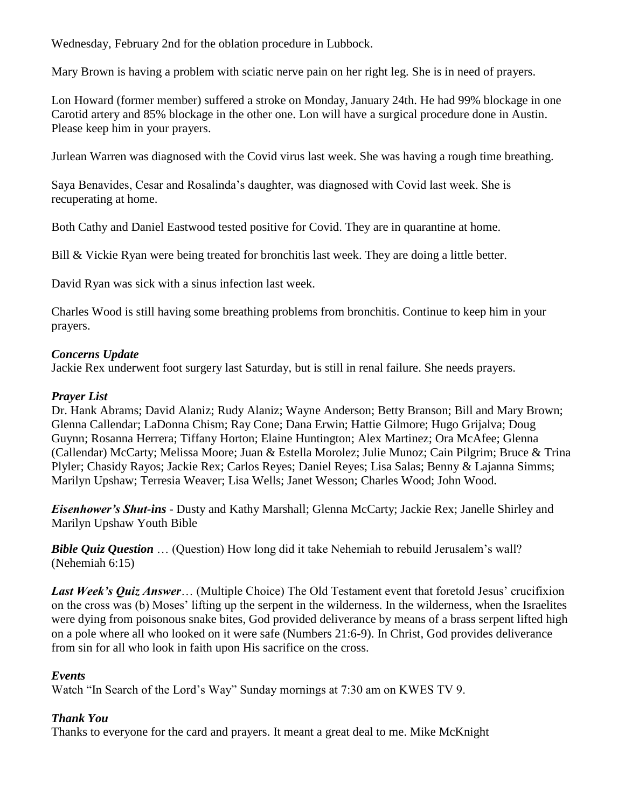Wednesday, February 2nd for the oblation procedure in Lubbock.

Mary Brown is having a problem with sciatic nerve pain on her right leg. She is in need of prayers.

Lon Howard (former member) suffered a stroke on Monday, January 24th. He had 99% blockage in one Carotid artery and 85% blockage in the other one. Lon will have a surgical procedure done in Austin. Please keep him in your prayers.

Jurlean Warren was diagnosed with the Covid virus last week. She was having a rough time breathing.

Saya Benavides, Cesar and Rosalinda's daughter, was diagnosed with Covid last week. She is recuperating at home.

Both Cathy and Daniel Eastwood tested positive for Covid. They are in quarantine at home.

Bill & Vickie Ryan were being treated for bronchitis last week. They are doing a little better.

David Ryan was sick with a sinus infection last week.

Charles Wood is still having some breathing problems from bronchitis. Continue to keep him in your prayers.

## *Concerns Update*

Jackie Rex underwent foot surgery last Saturday, but is still in renal failure. She needs prayers.

# *Prayer List*

Dr. Hank Abrams; David Alaniz; Rudy Alaniz; Wayne Anderson; Betty Branson; Bill and Mary Brown; Glenna Callendar; LaDonna Chism; Ray Cone; Dana Erwin; Hattie Gilmore; Hugo Grijalva; Doug Guynn; Rosanna Herrera; Tiffany Horton; Elaine Huntington; Alex Martinez; Ora McAfee; Glenna (Callendar) McCarty; Melissa Moore; Juan & Estella Morolez; Julie Munoz; Cain Pilgrim; Bruce & Trina Plyler; Chasidy Rayos; Jackie Rex; Carlos Reyes; Daniel Reyes; Lisa Salas; Benny & Lajanna Simms; Marilyn Upshaw; Terresia Weaver; Lisa Wells; Janet Wesson; Charles Wood; John Wood.

*Eisenhower's Shut-ins* - Dusty and Kathy Marshall; Glenna McCarty; Jackie Rex; Janelle Shirley and Marilyn Upshaw Youth Bible

*Bible Quiz Question* ... (Question) How long did it take Nehemiah to rebuild Jerusalem's wall? (Nehemiah 6:15)

Last Week's Ouiz Answer... (Multiple Choice) The Old Testament event that foretold Jesus' crucifixion on the cross was (b) Moses' lifting up the serpent in the wilderness. In the wilderness, when the Israelites were dying from poisonous snake bites, God provided deliverance by means of a brass serpent lifted high on a pole where all who looked on it were safe (Numbers 21:6-9). In Christ, God provides deliverance from sin for all who look in faith upon His sacrifice on the cross.

## *Events*

Watch "In Search of the Lord's Way" Sunday mornings at 7:30 am on KWES TV 9.

# *Thank You*

Thanks to everyone for the card and prayers. It meant a great deal to me. Mike McKnight